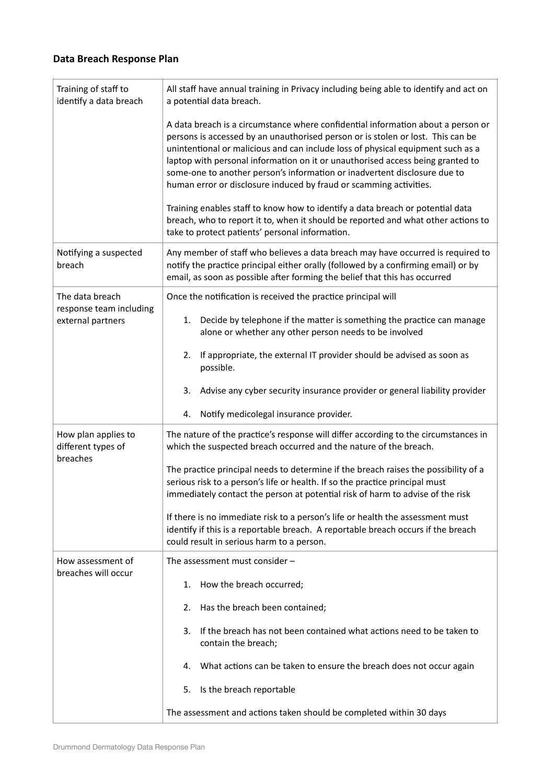## **Data Breach Response Plan**

| Training of staff to<br>identify a data breach                  | All staff have annual training in Privacy including being able to identify and act on<br>a potential data breach.                                                                                                                                                                                                                                                                                                                                                                           |
|-----------------------------------------------------------------|---------------------------------------------------------------------------------------------------------------------------------------------------------------------------------------------------------------------------------------------------------------------------------------------------------------------------------------------------------------------------------------------------------------------------------------------------------------------------------------------|
|                                                                 | A data breach is a circumstance where confidential information about a person or<br>persons is accessed by an unauthorised person or is stolen or lost. This can be<br>unintentional or malicious and can include loss of physical equipment such as a<br>laptop with personal information on it or unauthorised access being granted to<br>some-one to another person's information or inadvertent disclosure due to<br>human error or disclosure induced by fraud or scamming activities. |
|                                                                 | Training enables staff to know how to identify a data breach or potential data<br>breach, who to report it to, when it should be reported and what other actions to<br>take to protect patients' personal information.                                                                                                                                                                                                                                                                      |
| Notifying a suspected<br>breach                                 | Any member of staff who believes a data breach may have occurred is required to<br>notify the practice principal either orally (followed by a confirming email) or by<br>email, as soon as possible after forming the belief that this has occurred                                                                                                                                                                                                                                         |
| The data breach<br>response team including<br>external partners | Once the notification is received the practice principal will                                                                                                                                                                                                                                                                                                                                                                                                                               |
|                                                                 | Decide by telephone if the matter is something the practice can manage<br>1.<br>alone or whether any other person needs to be involved                                                                                                                                                                                                                                                                                                                                                      |
|                                                                 | If appropriate, the external IT provider should be advised as soon as<br>2.<br>possible.                                                                                                                                                                                                                                                                                                                                                                                                    |
|                                                                 | Advise any cyber security insurance provider or general liability provider<br>3.                                                                                                                                                                                                                                                                                                                                                                                                            |
|                                                                 | Notify medicolegal insurance provider.<br>4.                                                                                                                                                                                                                                                                                                                                                                                                                                                |
| How plan applies to<br>different types of<br>breaches           | The nature of the practice's response will differ according to the circumstances in<br>which the suspected breach occurred and the nature of the breach.                                                                                                                                                                                                                                                                                                                                    |
|                                                                 | The practice principal needs to determine if the breach raises the possibility of a<br>serious risk to a person's life or health. If so the practice principal must<br>immediately contact the person at potential risk of harm to advise of the risk                                                                                                                                                                                                                                       |
|                                                                 | If there is no immediate risk to a person's life or health the assessment must<br>identify if this is a reportable breach. A reportable breach occurs if the breach<br>could result in serious harm to a person.                                                                                                                                                                                                                                                                            |
| How assessment of<br>breaches will occur                        | The assessment must consider -                                                                                                                                                                                                                                                                                                                                                                                                                                                              |
|                                                                 | How the breach occurred;<br>1.                                                                                                                                                                                                                                                                                                                                                                                                                                                              |
|                                                                 | Has the breach been contained;<br>2.                                                                                                                                                                                                                                                                                                                                                                                                                                                        |
|                                                                 | If the breach has not been contained what actions need to be taken to<br>3.<br>contain the breach;                                                                                                                                                                                                                                                                                                                                                                                          |
|                                                                 | What actions can be taken to ensure the breach does not occur again<br>4.                                                                                                                                                                                                                                                                                                                                                                                                                   |
|                                                                 | Is the breach reportable<br>5.                                                                                                                                                                                                                                                                                                                                                                                                                                                              |
|                                                                 | The assessment and actions taken should be completed within 30 days                                                                                                                                                                                                                                                                                                                                                                                                                         |